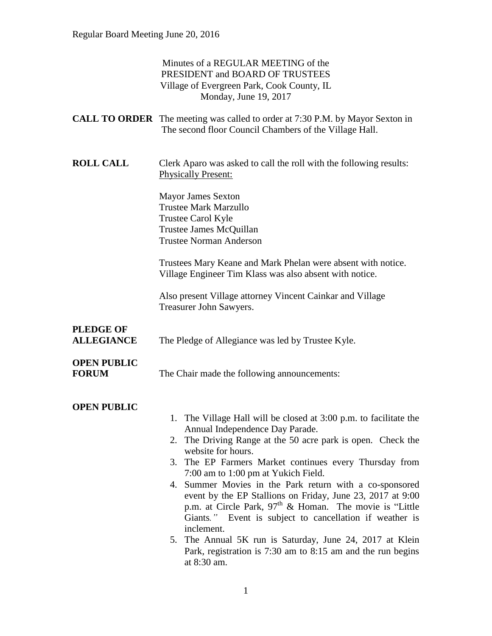|                                       | Minutes of a REGULAR MEETING of the<br>PRESIDENT and BOARD OF TRUSTEES<br>Village of Evergreen Park, Cook County, IL<br>Monday, June 19, 2017                                                                                                                                                                                                                                                                                                                                                                                                                                                                                                                                                              |
|---------------------------------------|------------------------------------------------------------------------------------------------------------------------------------------------------------------------------------------------------------------------------------------------------------------------------------------------------------------------------------------------------------------------------------------------------------------------------------------------------------------------------------------------------------------------------------------------------------------------------------------------------------------------------------------------------------------------------------------------------------|
|                                       | <b>CALL TO ORDER</b> The meeting was called to order at 7:30 P.M. by Mayor Sexton in<br>The second floor Council Chambers of the Village Hall.                                                                                                                                                                                                                                                                                                                                                                                                                                                                                                                                                             |
| <b>ROLL CALL</b>                      | Clerk Aparo was asked to call the roll with the following results:<br><b>Physically Present:</b>                                                                                                                                                                                                                                                                                                                                                                                                                                                                                                                                                                                                           |
|                                       | <b>Mayor James Sexton</b><br><b>Trustee Mark Marzullo</b><br>Trustee Carol Kyle<br>Trustee James McQuillan<br><b>Trustee Norman Anderson</b>                                                                                                                                                                                                                                                                                                                                                                                                                                                                                                                                                               |
|                                       | Trustees Mary Keane and Mark Phelan were absent with notice.<br>Village Engineer Tim Klass was also absent with notice.                                                                                                                                                                                                                                                                                                                                                                                                                                                                                                                                                                                    |
|                                       | Also present Village attorney Vincent Cainkar and Village<br>Treasurer John Sawyers.                                                                                                                                                                                                                                                                                                                                                                                                                                                                                                                                                                                                                       |
| <b>PLEDGE OF</b><br><b>ALLEGIANCE</b> | The Pledge of Allegiance was led by Trustee Kyle.                                                                                                                                                                                                                                                                                                                                                                                                                                                                                                                                                                                                                                                          |
| <b>OPEN PUBLIC</b><br><b>FORUM</b>    | The Chair made the following announcements:                                                                                                                                                                                                                                                                                                                                                                                                                                                                                                                                                                                                                                                                |
| <b>OPEN PUBLIC</b>                    | 1. The Village Hall will be closed at 3:00 p.m. to facilitate the<br>Annual Independence Day Parade.<br>The Driving Range at the 50 acre park is open. Check the<br>2.<br>website for hours.<br>The EP Farmers Market continues every Thursday from<br>3.<br>7:00 am to 1:00 pm at Yukich Field.<br>4. Summer Movies in the Park return with a co-sponsored<br>event by the EP Stallions on Friday, June 23, 2017 at 9:00<br>p.m. at Circle Park, $97th$ & Homan. The movie is "Little"<br>Giants." Event is subject to cancellation if weather is<br>inclement.<br>5. The Annual 5K run is Saturday, June 24, 2017 at Klein<br>Park, registration is 7:30 am to 8:15 am and the run begins<br>at 8:30 am. |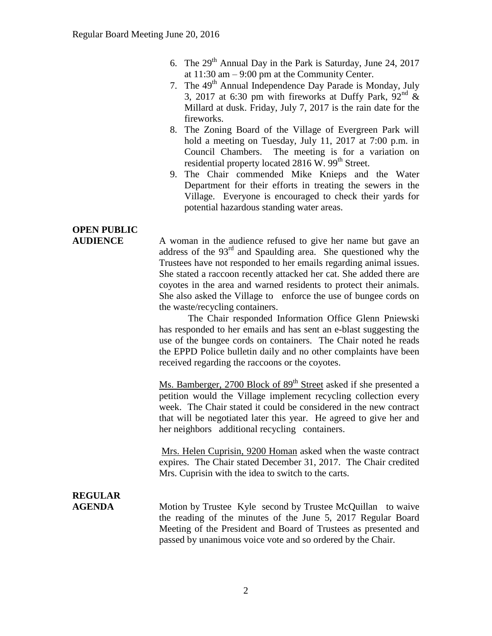- 6. The  $29<sup>th</sup>$  Annual Day in the Park is Saturday, June 24, 2017 at 11:30 am – 9:00 pm at the Community Center.
- 7. The 49<sup>th</sup> Annual Independence Day Parade is Monday, July 3, 2017 at 6:30 pm with fireworks at Duffy Park,  $92<sup>nd</sup>$  & Millard at dusk. Friday, July 7, 2017 is the rain date for the fireworks.
- 8. The Zoning Board of the Village of Evergreen Park will hold a meeting on Tuesday, July 11, 2017 at 7:00 p.m. in Council Chambers. The meeting is for a variation on residential property located  $2816$  W.  $99<sup>th</sup>$  Street.
- 9. The Chair commended Mike Knieps and the Water Department for their efforts in treating the sewers in the Village. Everyone is encouraged to check their yards for potential hazardous standing water areas.

## **OPEN PUBLIC**

**AUDIENCE** A woman in the audience refused to give her name but gave an address of the 93rd and Spaulding area. She questioned why the Trustees have not responded to her emails regarding animal issues. She stated a raccoon recently attacked her cat. She added there are coyotes in the area and warned residents to protect their animals. She also asked the Village to enforce the use of bungee cords on the waste/recycling containers.

> The Chair responded Information Office Glenn Pniewski has responded to her emails and has sent an e-blast suggesting the use of the bungee cords on containers. The Chair noted he reads the EPPD Police bulletin daily and no other complaints have been received regarding the raccoons or the coyotes.

> Ms. Bamberger, 2700 Block of 89<sup>th</sup> Street asked if she presented a petition would the Village implement recycling collection every week. The Chair stated it could be considered in the new contract that will be negotiated later this year. He agreed to give her and her neighbors additional recycling containers.

> Mrs. Helen Cuprisin, 9200 Homan asked when the waste contract expires. The Chair stated December 31, 2017. The Chair credited Mrs. Cuprisin with the idea to switch to the carts.

# **REGULAR**

**AGENDA** Motion by Trustee Kyle second by Trustee McQuillan to waive the reading of the minutes of the June 5, 2017 Regular Board Meeting of the President and Board of Trustees as presented and passed by unanimous voice vote and so ordered by the Chair.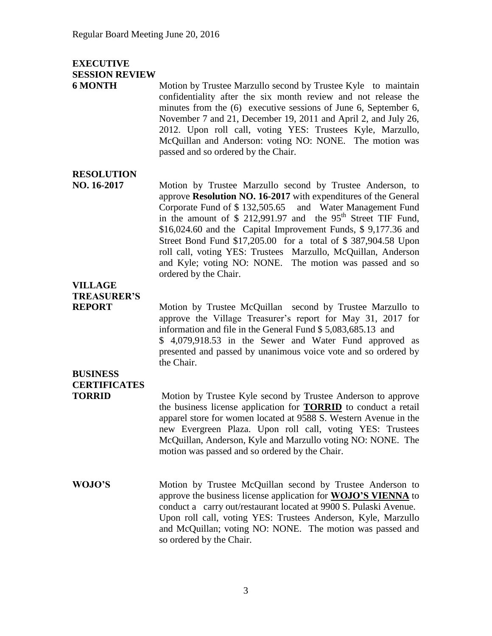#### **EXECUTIVE SESSION REVIEW**

**6 MONTH** Motion by Trustee Marzullo second by Trustee Kyle to maintain confidentiality after the six month review and not release the minutes from the (6) executive sessions of June 6, September 6, November 7 and 21, December 19, 2011 and April 2, and July 26, 2012. Upon roll call, voting YES: Trustees Kyle, Marzullo, McQuillan and Anderson: voting NO: NONE. The motion was passed and so ordered by the Chair.

#### **RESOLUTION**

**NO. 16-2017** Motion by Trustee Marzullo second by Trustee Anderson, to approve **Resolution NO. 16-2017** with expenditures of the General Corporate Fund of \$ 132,505.65 and Water Management Fund in the amount of  $$212,991.97$  and the  $95<sup>th</sup>$  Street TIF Fund, \$16,024.60 and the Capital Improvement Funds, \$ 9,177.36 and Street Bond Fund \$17,205.00 for a total of \$ 387,904.58 Upon roll call, voting YES: Trustees Marzullo, McQuillan, Anderson and Kyle; voting NO: NONE. The motion was passed and so ordered by the Chair.

### **VILLAGE TREASURER'S**

**REPORT** Motion by Trustee McQuillan second by Trustee Marzullo to approve the Village Treasurer's report for May 31, 2017 for information and file in the General Fund \$ 5,083,685.13 and \$ 4,079,918.53 in the Sewer and Water Fund approved as presented and passed by unanimous voice vote and so ordered by the Chair.

### **BUSINESS CERTIFICATES**

**TORRID** Motion by Trustee Kyle second by Trustee Anderson to approve the business license application for **TORRID** to conduct a retail apparel store for women located at 9588 S. Western Avenue in the new Evergreen Plaza. Upon roll call, voting YES: Trustees McQuillan, Anderson, Kyle and Marzullo voting NO: NONE. The motion was passed and so ordered by the Chair.

**WOJO'S** Motion by Trustee McQuillan second by Trustee Anderson to approve the business license application for **WOJO'S VIENNA** to conduct a carry out/restaurant located at 9900 S. Pulaski Avenue. Upon roll call, voting YES: Trustees Anderson, Kyle, Marzullo and McQuillan; voting NO: NONE. The motion was passed and so ordered by the Chair.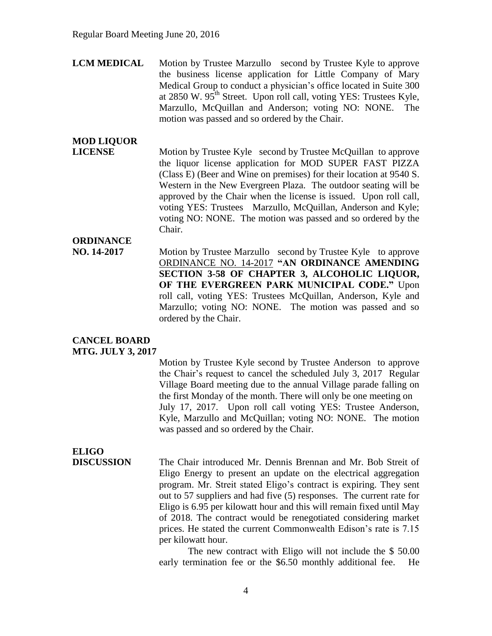**LCM MEDICAL** Motion by Trustee Marzullo second by Trustee Kyle to approve the business license application for Little Company of Mary Medical Group to conduct a physician's office located in Suite 300 at 2850 W.  $95<sup>th</sup>$  Street. Upon roll call, voting YES: Trustees Kyle, Marzullo, McQuillan and Anderson; voting NO: NONE. The motion was passed and so ordered by the Chair.

### **MOD LIQUOR**

**LICENSE** Motion by Trustee Kyle second by Trustee McQuillan to approve the liquor license application for MOD SUPER FAST PIZZA (Class E) (Beer and Wine on premises) for their location at 9540 S. Western in the New Evergreen Plaza. The outdoor seating will be approved by the Chair when the license is issued. Upon roll call, voting YES: Trustees Marzullo, McQuillan, Anderson and Kyle; voting NO: NONE. The motion was passed and so ordered by the Chair.

#### **ORDINANCE**

**NO. 14-2017** Motion by Trustee Marzullo second by Trustee Kyle to approve ORDINANCE NO. 14-2017 **"AN ORDINANCE AMENDING SECTION 3-58 OF CHAPTER 3, ALCOHOLIC LIQUOR, OF THE EVERGREEN PARK MUNICIPAL CODE."** Upon roll call, voting YES: Trustees McQuillan, Anderson, Kyle and Marzullo; voting NO: NONE. The motion was passed and so ordered by the Chair.

#### **CANCEL BOARD MTG. JULY 3, 2017**

Motion by Trustee Kyle second by Trustee Anderson to approve the Chair's request to cancel the scheduled July 3, 2017 Regular Village Board meeting due to the annual Village parade falling on the first Monday of the month. There will only be one meeting on July 17, 2017. Upon roll call voting YES: Trustee Anderson, Kyle, Marzullo and McQuillan; voting NO: NONE. The motion was passed and so ordered by the Chair.

## **ELIGO**

**DISCUSSION** The Chair introduced Mr. Dennis Brennan and Mr. Bob Streit of Eligo Energy to present an update on the electrical aggregation program. Mr. Streit stated Eligo's contract is expiring. They sent out to 57 suppliers and had five (5) responses. The current rate for Eligo is 6.95 per kilowatt hour and this will remain fixed until May of 2018. The contract would be renegotiated considering market prices. He stated the current Commonwealth Edison's rate is 7.15 per kilowatt hour.

> The new contract with Eligo will not include the \$ 50.00 early termination fee or the \$6.50 monthly additional fee. He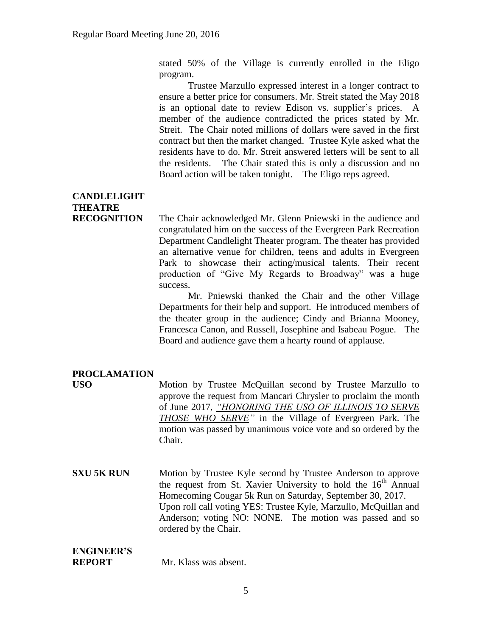stated 50% of the Village is currently enrolled in the Eligo program.

Trustee Marzullo expressed interest in a longer contract to ensure a better price for consumers. Mr. Streit stated the May 2018 is an optional date to review Edison vs. supplier's prices. A member of the audience contradicted the prices stated by Mr. Streit. The Chair noted millions of dollars were saved in the first contract but then the market changed. Trustee Kyle asked what the residents have to do. Mr. Streit answered letters will be sent to all the residents. The Chair stated this is only a discussion and no Board action will be taken tonight. The Eligo reps agreed.

### **CANDLELIGHT THEATRE**

**RECOGNITION** The Chair acknowledged Mr. Glenn Pniewski in the audience and congratulated him on the success of the Evergreen Park Recreation Department Candlelight Theater program. The theater has provided an alternative venue for children, teens and adults in Evergreen Park to showcase their acting/musical talents. Their recent production of "Give My Regards to Broadway" was a huge success.

> Mr. Pniewski thanked the Chair and the other Village Departments for their help and support. He introduced members of the theater group in the audience; Cindy and Brianna Mooney, Francesca Canon, and Russell, Josephine and Isabeau Pogue. The Board and audience gave them a hearty round of applause.

#### **PROCLAMATION**

**USO** Motion by Trustee McQuillan second by Trustee Marzullo to approve the request from Mancari Chrysler to proclaim the month of June 2017, *"HONORING THE USO OF ILLINOIS TO SERVE THOSE WHO SERVE"* in the Village of Evergreen Park. The motion was passed by unanimous voice vote and so ordered by the Chair.

**SXU 5K RUN** Motion by Trustee Kyle second by Trustee Anderson to approve the request from St. Xavier University to hold the  $16<sup>th</sup>$  Annual Homecoming Cougar 5k Run on Saturday, September 30, 2017. Upon roll call voting YES: Trustee Kyle, Marzullo, McQuillan and Anderson; voting NO: NONE. The motion was passed and so ordered by the Chair.

### **ENGINEER'S**

**REPORT** Mr. Klass was absent.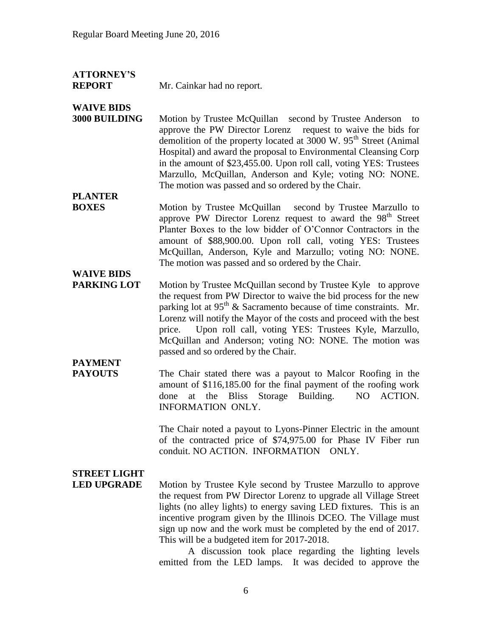### **ATTORNEY'S**

**REPORT** Mr. Cainkar had no report.

#### **WAIVE BIDS**

**3000 BUILDING** Motion by Trustee McQuillan second by Trustee Anderson to approve the PW Director Lorenz request to waive the bids for demolition of the property located at  $3000 \text{ W}$ . 95<sup>th</sup> Street (Animal Hospital) and award the proposal to Environmental Cleansing Corp in the amount of \$23,455.00. Upon roll call, voting YES: Trustees Marzullo, McQuillan, Anderson and Kyle; voting NO: NONE. The motion was passed and so ordered by the Chair.

#### **PLANTER**

**BOXES** Motion by Trustee McQuillan second by Trustee Marzullo to approve PW Director Lorenz request to award the 98<sup>th</sup> Street Planter Boxes to the low bidder of O'Connor Contractors in the amount of \$88,900.00. Upon roll call, voting YES: Trustees McQuillan, Anderson, Kyle and Marzullo; voting NO: NONE. The motion was passed and so ordered by the Chair.

## **WAIVE BIDS**

**PARKING LOT** Motion by Trustee McQuillan second by Trustee Kyle to approve the request from PW Director to waive the bid process for the new parking lot at  $95<sup>th</sup>$  & Sacramento because of time constraints. Mr. Lorenz will notify the Mayor of the costs and proceed with the best price. Upon roll call, voting YES: Trustees Kyle, Marzullo, McQuillan and Anderson; voting NO: NONE. The motion was passed and so ordered by the Chair.

## **PAYMENT**

**PAYOUTS** The Chair stated there was a payout to Malcor Roofing in the amount of \$116,185.00 for the final payment of the roofing work done at the Bliss Storage Building. NO ACTION. INFORMATION ONLY.

> The Chair noted a payout to Lyons-Pinner Electric in the amount of the contracted price of \$74,975.00 for Phase IV Fiber run conduit. NO ACTION. INFORMATION ONLY.

## **STREET LIGHT**

**LED UPGRADE** Motion by Trustee Kyle second by Trustee Marzullo to approve the request from PW Director Lorenz to upgrade all Village Street lights (no alley lights) to energy saving LED fixtures. This is an incentive program given by the Illinois DCEO. The Village must sign up now and the work must be completed by the end of 2017. This will be a budgeted item for 2017-2018.

A discussion took place regarding the lighting levels emitted from the LED lamps. It was decided to approve the